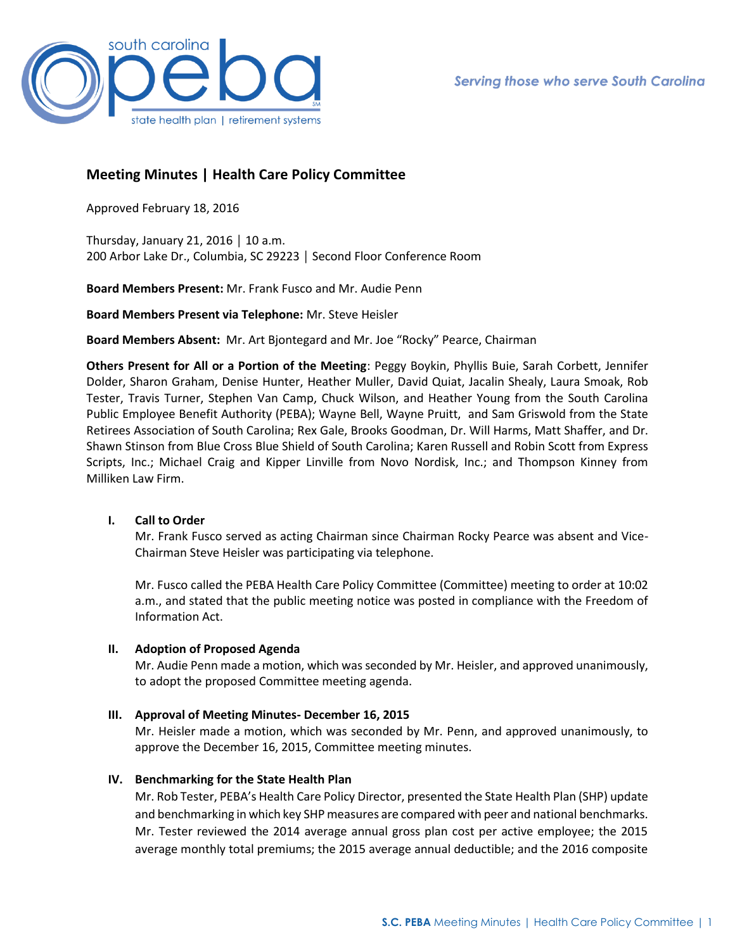

# **Meeting Minutes | Health Care Policy Committee**

Approved February 18, 2016

Thursday, January 21, 2016 | 10 a.m. 200 Arbor Lake Dr., Columbia, SC 29223 │ Second Floor Conference Room

**Board Members Present:** Mr. Frank Fusco and Mr. Audie Penn

**Board Members Present via Telephone:** Mr. Steve Heisler

**Board Members Absent:** Mr. Art Bjontegard and Mr. Joe "Rocky" Pearce, Chairman

**Others Present for All or a Portion of the Meeting**: Peggy Boykin, Phyllis Buie, Sarah Corbett, Jennifer Dolder, Sharon Graham, Denise Hunter, Heather Muller, David Quiat, Jacalin Shealy, Laura Smoak, Rob Tester, Travis Turner, Stephen Van Camp, Chuck Wilson, and Heather Young from the South Carolina Public Employee Benefit Authority (PEBA); Wayne Bell, Wayne Pruitt, and Sam Griswold from the State Retirees Association of South Carolina; Rex Gale, Brooks Goodman, Dr. Will Harms, Matt Shaffer, and Dr. Shawn Stinson from Blue Cross Blue Shield of South Carolina; Karen Russell and Robin Scott from Express Scripts, Inc.; Michael Craig and Kipper Linville from Novo Nordisk, Inc.; and Thompson Kinney from Milliken Law Firm.

## **I. Call to Order**

Mr. Frank Fusco served as acting Chairman since Chairman Rocky Pearce was absent and Vice-Chairman Steve Heisler was participating via telephone.

Mr. Fusco called the PEBA Health Care Policy Committee (Committee) meeting to order at 10:02 a.m., and stated that the public meeting notice was posted in compliance with the Freedom of Information Act.

## **II. Adoption of Proposed Agenda**

Mr. Audie Penn made a motion, which was seconded by Mr. Heisler, and approved unanimously, to adopt the proposed Committee meeting agenda.

### **III. Approval of Meeting Minutes- December 16, 2015**

Mr. Heisler made a motion, which was seconded by Mr. Penn, and approved unanimously, to approve the December 16, 2015, Committee meeting minutes.

## **IV. Benchmarking for the State Health Plan**

Mr. Rob Tester, PEBA's Health Care Policy Director, presented the State Health Plan (SHP) update and benchmarking in which key SHP measures are compared with peer and national benchmarks. Mr. Tester reviewed the 2014 average annual gross plan cost per active employee; the 2015 average monthly total premiums; the 2015 average annual deductible; and the 2016 composite